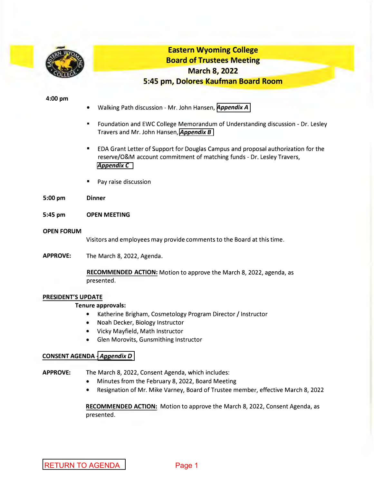<span id="page-0-0"></span>

# **Eastern Wyoming College Board of Trustees Meeting March 8, 2022 5:45 pm, Dolores Kaufman Board Room**

#### **4:00 pm**

- Walking Path discussion Mr. John Hansen, *Appendix A*
- Foundation and EWC College Memorandum of Understanding discussion Dr. Lesley Travers and Mr. John Hansen, *Appendix B*
- EDA Grant Letter of Support for Douglas Campus and proposal authorization for the reserve/O&M account commitment of matching funds - Dr. Lesley Travers, *AppendixC*
- Pay raise discussion
- **5:00 pm Dinner**
- **5:45 pm OPEN MEETING**
- **OPEN FORUM**

Visitors and employees may provide comments to the Board at this time.

**APPROVE:**  The March 8, 2022, Agenda.

> **RECOMMENDED ACTION:** Motion to approve the March 8, 2022, agenda, as presented.

## **PRESIDENT'S UPDATE**

## **Tenure approvals:**

- Katherine Brigham, Cosmetology Program Director / Instructor
- Noah Decker, Biology Instructor
- Vicky Mayfield, Math Instructor
- Glen Morovits, Gunsmithing Instructor

## **CONSENT AGENDA** *-Appendix D*

**APPROVE:** The March 8, 2022, Consent Agenda, which includes:

- Minutes from the February 8, 2022, Board Meeting
- Resignation of Mr. Mike Varney, Board of Trustee member, effective March 8, 2022

**RECOMMENDED ACTION:** Motion to approve the March 8, 2022, Consent Agenda, as presented.